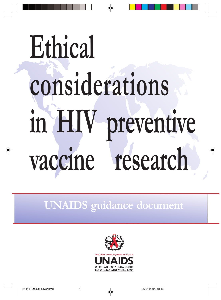# **Ethical considerations in HIV preventive vaccine research**

**UNAIDS guidance document**

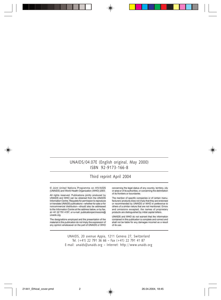#### UNAIDS/04.07E (English original, May 2000) ISBN 92-9173-166-8

#### Third reprint April 2004

C Joint United Nations Programme on HIV/AIDS (UNAIDS) and World Health Organization (WHD) 2003.

All rights reserved. Publications jointly produced by UNAIDS and WHO can be obtained from the UNAIDS Information Centre, Requests for permission to reproduce or translate UNAIDS publications-whether for sale or for noncommercial distribution-should also be addressed. to the Information Centre at the address below, or by fax, at +41 22 791 4187, or e-mail: publicationpermissions@ unsids org

The designations employed and the presentation of the material in this publication do not imply the expression of any opinion whatsoever on the part of UNAIDS or WHO concerning the legal status of any country, territory, city or area or of its authorities, or concerning the delimitation of its frontiers or boundaries.

The mentor of specific companies or of certain manufacturers' products does not imply that they are endorsed or recommended by UNAIDS or WHO in preference to others of a similar nature that are not mentioned. Errors, and omissions excepted, the names of proprietary products are distinguished by initial capital letters.

UNAIDS and WHO do not warrant that the information contained in this publication is complete and comect and shall not be liable for any damages incomed as a result of its use.

UNAIDS, 20 avenue Appia, 1211 Geneva 27, Switzerland Tel. (+41) 22 791 36 66 – Fax (+41) 22 791 41 87 E-mail: unaids@unaids.org – Internet: http://www.unaids.org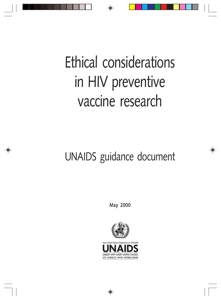### Ethical considerations in HIV preventive vaccine research

### UNAIDS guidance document

**May 2000**

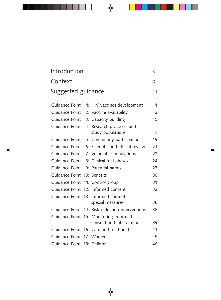| Introduction<br>Context     |  |                                                                     | 3<br>6 |
|-----------------------------|--|---------------------------------------------------------------------|--------|
|                             |  |                                                                     |        |
| Guidance Point              |  | 1: HIV vaccines development                                         | 11     |
| Guidance Point              |  | 2: Vaccine availability                                             | 13     |
| Guidance Point              |  | 3: Capacity building                                                | 15     |
| Guidance Point              |  | 4: Research protocols and                                           |        |
|                             |  | study populations                                                   | 17     |
| Guidance Point              |  | 5: Community participation                                          | 19     |
| Guidance Point              |  | 6: Scientific and ethical review                                    | 21     |
| Guidance Point              |  | 7: Vulnerable populations                                           | 22     |
| Guidance Point              |  | 8: Clinical trial phases                                            | 24     |
| Guidance Point              |  | 9: Potential harms                                                  | 27     |
| Guidance Point              |  | 10: Benefits                                                        | 30     |
| Guidance Point              |  | 11: Control group                                                   | 31     |
| Guidance Point              |  | 12: Informed consent                                                | 32     |
| Guidance Point              |  | 13: Informed consent -                                              |        |
|                             |  | special measures                                                    | 36     |
|                             |  | Guidance Point 14: Risk-reduction interventions                     | 38     |
|                             |  | Guidance Point 15: Monitoring informed<br>consent and interventions | 39     |
|                             |  | Guidance Point 16: Care and treatment                               | 41     |
| Guidance Point 17: Women    |  |                                                                     | 45     |
| Guidance Point 18: Children |  |                                                                     | 46     |
|                             |  |                                                                     |        |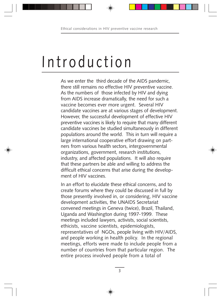### Introduction

As we enter the third decade of the AIDS pandemic, there still remains no effective HIV preventive vaccine. As the numbers of those infected by HIV and dying from AIDS increase dramatically, the need for such a vaccine becomes ever more urgent. Several HIV candidate vaccines are at various stages of development. However, the successful development of effective HIV preventive vaccines is likely to require that many different candidate vaccines be studied simultaneously in different populations around the world. This in turn will require a large international cooperative effort drawing on partners from various health sectors, intergovernmental organizations, government, research institutions, industry, and affected populations. It will also require that these partners be able and willing to address the difficult ethical concerns that arise during the development of HIV vaccines.

In an effort to elucidate these ethical concerns, and to create forums where they could be discussed in full by those presently involved in, or considering, HIV vaccine development activities, the UNAIDS Secretariat convened meetings in Geneva (twice), Brazil, Thailand, Uganda and Washington during 1997-1999. These meetings included lawyers, activists, social scientists, ethicists, vaccine scientists, epidemiologists, representatives of NGOs, people living with HIV/AIDS, and people working in health policy. In the regional meetings, efforts were made to include people from a number of countries from that particular region. The entire process involved people from a total of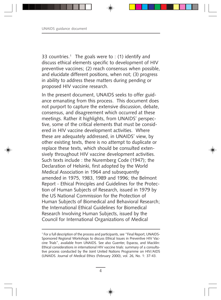33 countries.<sup>1</sup> The goals were to : (1) identify and discuss ethical elements specific to development of HIV preventive vaccines; (2) reach consensus when possible, and elucidate different positions, when not; (3) progress in ability to address these matters during pending or proposed HIV vaccine research.

In the present document, UNAIDS seeks to offer guidance emanating from this process. This document does not purport to capture the extensive discussion, debate, consensus, and disagreement which occurred at these meetings. Rather it highlights, from UNAIDS' perspective, some of the critical elements that must be considered in HIV vaccine development activities. Where these are adequately addressed, in UNAIDS' view, by other existing texts, there is no attempt to duplicate or replace these texts, which should be consulted extensively throughout HIV vaccine development activities. Such texts include : the Nuremberg Code (1947); the Declaration of Helsinki, first adopted by the World Medical Association in 1964 and subsequently amended in 1975, 1983, 1989 and 1996; the Belmont Report - Ethical Principles and Guidelines for the Protection of Human Subjects of Research, issued in 1979 by the US National Commission for the Protection of Human Subjects of Biomedical and Behavioral Research; the International Ethical Guidelines for Biomedical Research Involving Human Subjects, issued by the Council for International Organizations of Medical

<sup>1</sup> For a full description of the process and participants, see "Final Report, UNAIDS-Sponsored Regional Workshops to discuss Ethical Issues in Preventive HIV Vaccine Trials", available from UNAIDS. See also Guenter, Esparza, and Macklin: Ethical considerations in international HIV vaccine trials: summary of a consultative process conducted by the Joint United Nations Programme on HIV/AIDS (UNAIDS. Journal of Medical Ethics (February 2000), vol. 26, No. 1: 37-43.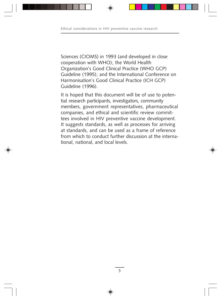Sciences (CIOMS) in 1993 (and developed in close cooperation with WHO); the World Health Organization's Good Clinical Practice (WHO GCP) Guideline (1995); and the International Conference on Harmonisation's Good Clinical Practice (ICH GCP) Guideline (1996).

It is hoped that this document will be of use to potential research participants, investigators, community members, government representatives, pharmaceutical companies, and ethical and scientific review committees involved in HIV preventive vaccine development. It suggests standards, as well as processes for arriving at standards, and can be used as a frame of reference from which to conduct further discussion at the international, national, and local levels.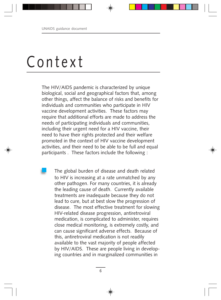### Context

The HIV/AIDS pandemic is characterized by unique biological, social and geographical factors that, among other things, affect the balance of risks and benefits for individuals and communities who participate in HIV vaccine development activities. These factors may require that additional efforts are made to address the needs of participating individuals and communities, including their urgent need for a HIV vaccine, their need to have their rights protected and their welfare promoted in the context of HIV vaccine development activities, and their need to be able to be full and equal participants . These factors include the following :

The global burden of disease and death related to HIV is increasing at a rate unmatched by any other pathogen. For many countries, it is already the leading cause of death. Currently available treatments are inadequate because they do not lead to cure, but at best slow the progression of disease. The most effective treatment for slowing HIV-related disease progression, antiretroviral medication, is complicated to administer, requires close medical monitoring, is extremely costly, and can cause significant adverse effects. Because of this, antiretroviral medication is not readily available to the vast majority of people affected by HIV/AIDS. These are people living in developing countries and in marginalized communities in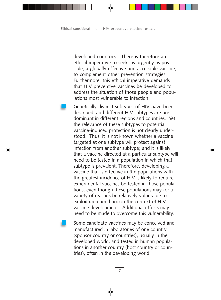developed countries. There is therefore an ethical imperative to seek, as urgently as possible, a globally effective and accessible vaccine, to complement other prevention strategies. Furthermore, this ethical imperative demands that HIV preventive vaccines be developed to address the situation of those people and populations most vulnerable to infection.

Genetically distinct subtypes of HIV have been described, and different HIV subtypes are predominant in different regions and countries. Yet the relevance of these subtypes to potential vaccine-induced protection is not clearly understood. Thus, it is not known whether a vaccine targeted at one subtype will protect against infection from another subtype; and it is likely that a vaccine directed at a particular subtype will need to be tested in a population in which that subtype is prevalent. Therefore, developing a vaccine that is effective in the populations with the greatest incidence of HIV is likely to require experimental vaccines be tested in those populations, even though these populations may for a variety of reasons be relatively vulnerable to exploitation and harm in the context of HIV vaccine development. Additional efforts may need to be made to overcome this vulnerability.

Some candidate vaccines may be conceived and manufactured in laboratories of one country (sponsor country or countries), usually in the developed world, and tested in human populations in another country (host country or countries), often in the developing world.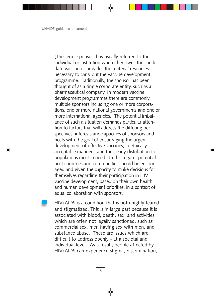[The term 'sponsor' has usually referred to the individual or institution who either owns the candidate vaccine or provides the material resources necessary to carry out the vaccine development programme. Traditionally, the sponsor has been thought of as a single corporate entity, such as a pharmaceutical company. In modern vaccine development programmes there are commonly multiple sponsors including one or more corporations, one or more national governments and one or more international agencies.] The potential imbalance of such a situation demands particular attention to factors that will address the differing perspectives, interests and capacities of sponsors and hosts with the goal of encouraging the urgent development of effective vaccines, in ethically acceptable manners, and their early distribution to populations most in need. In this regard, potential host countries and communities should be encouraged and given the capacity to make decisions for themselves regarding their participation in HIV vaccine development, based on their own health and human development priorities, in a context of equal collaboration with sponsors.

HIV/AIDS is a condition that is both highly feared and stigmatized. This is in large part because it is associated with blood, death, sex, and activities which are often not legally sanctioned, such as commercial sex, men having sex with men, and substance abuse. These are issues which are difficult to address openly - at a societal and individual level. As a result, people affected by HIV/AIDS can experience stigma, discrimination,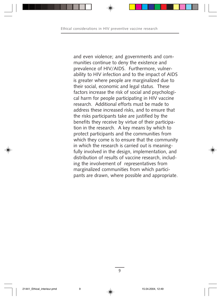and even violence; and governments and communities continue to deny the existence and prevalence of HIV/AIDS. Furthermore, vulnerability to HIV infection and to the impact of AIDS is greater where people are marginalized due to their social, economic and legal status. These factors increase the risk of social and psychological harm for people participating in HIV vaccine research. Additional efforts must be made to address these increased risks, and to ensure that the risks participants take are justified by the benefits they receive by virtue of their participation in the research. A key means by which to protect participants and the communities from which they come is to ensure that the community in which the research is carried out is meaningfully involved in the design, implementation, and distribution of results of vaccine research, including the involvement of representatives from marginalized communities from which participants are drawn, where possible and appropriate.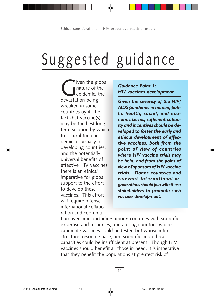## Suggested guidance

iven the global nature of the epidemic, the devastation being wreaked in some countries by it, the fact that vaccine(s) may be the best longterm solution by which to control the epidemic, especially in developing countries, and the potentially universal benefits of effective HIV vaccines, there is an ethical imperative for global support to the effort to develop these vaccines. This effort will require intense international collaboration and coordina-

#### *Guidance Point 1: HIV vaccines development*

*Given the severity of the HIV/ AIDS pandemic in human, public health, social, and economic terms, sufficient capacity and incentives should be developed to foster the early and ethical development of effective vaccines, both from the point of view of countries where HIV vaccine trials may be held, and from the point of view of sponsors of HIV vaccine trials. Donor countries and relevant international organizations should join with these stakeholders to promote such vaccine development.*

tion over time, including among countries with scientific expertise and resources, and among countries where candidate vaccines could be tested but whose infrastructure, resource base, and scientific and ethical capacities could be insufficient at present. Though HIV vaccines should benefit all those in need, it is imperative that they benefit the populations at greatest risk of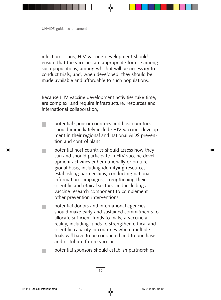infection. Thus, HIV vaccine development should ensure that the vaccines are appropriate for use among such populations, among which it will be necessary to conduct trials; and, when developed, they should be made available and affordable to such populations.

Because HIV vaccine development activities take time, are complex, and require infrastructure, resources and international collaboration,

- potential sponsor countries and host countries should immediately include HIV vaccine development in their regional and national AIDS prevention and control plans.
- potential host countries should assess how they can and should participate in HIV vaccine development activities either nationally or on a regional basis, including identifying resources, establishing partnerships, conducting national information campaigns, strengthening their scientific and ethical sectors, and including a vaccine research component to complement other prevention interventions.
- potential donors and international agencies should make early and sustained commitments to allocate sufficient funds to make a vaccine a reality, including funds to strengthen ethical and scientific capacity in countries where multiple trials will have to be conducted and to purchase and distribute future vaccines.

potential sponsors should establish partnerships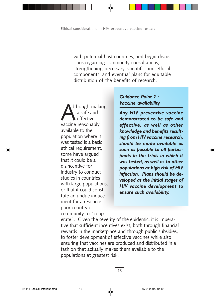with potential host countries, and begin discussions regarding community consultations, strengthening necessary scientific and ethical components, and eventual plans for equitable distribution of the benefits of research.

Ithough making a safe and effective vaccine reasonably available to the population where it was tested is a basic ethical requirement, some have argued that it could be a disincentive for industry to conduct studies in countries with large populations, or that it could constitute an undue inducement for a resourcepoor country or community to "coop-

#### *Guidance Point 2 : Vaccine availability*

*Any HIV preventive vaccine demonstrated to be safe and effective, as well as other knowledge and benefits resulting from HIV vaccine research, should be made available as soon as possible to all participants in the trials in which it was tested, as well as to other populations at high risk of HIV infection. Plans should be developed at the initial stages of HIV vaccine development to ensure such availability.*

erate". Given the severity of the epidemic, it is imperative that sufficient incentives exist, both through financial rewards in the marketplace and through public subsidies, to foster development of effective vaccines while also ensuring that vaccines are produced and distributed in a fashion that actually makes them available to the populations at greatest risk.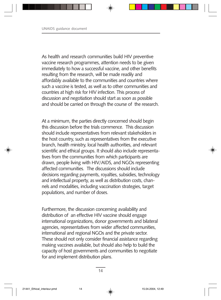As health and research communities build HIV preventive vaccine research programmes, attention needs to be given immediately to how a successful vaccine, and other benefits resulting from the research, will be made readily and affordably available to the communities and countries where such a vaccine is tested, as well as to other communities and countries at high risk for HIV infection. This process of discussion and negotiation should start as soon as possible and should be carried on through the course of the research.

At a minimum, the parties directly concerned should begin this discussion before the trials commence. This discussion should include representatives from relevant stakeholders in the host country, such as representatives from the executive branch, health ministry, local health authorities, and relevant scientific and ethical groups. It should also include representatives from the communities from which participants are drawn, people living with HIV/AIDS, and NGOs representing affected communities. The discussions should include decisions regarding payments, royalties, subsidies, technology and intellectual property, as well as distribution costs, channels and modalities, including vaccination strategies, target populations, and number of doses.

Furthermore, the discussion concerning availability and distribution of an effective HIV vaccine should engage international organizations, donor governments and bilateral agencies, representatives from wider affected communities, international and regional NGOs and the private sector. These should not only consider financial assistance regarding making vaccines available, but should also help to build the capacity of host governments and communities to negotiate for and implement distribution plans.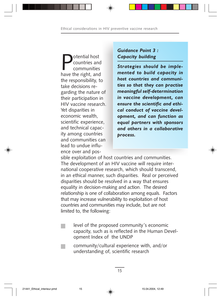**Potential host**<br>
communities<br>
have the right, and countries and communities the responsibility, to take decisions regarding the nature of their participation in HIV vaccine research. Yet disparities in economic wealth, scientific experience, and technical capacity among countries and communities can lead to undue influence over and pos-

#### *Guidance Point 3 : Capacity building*

*Strategies should be implemented to build capacity in host countries and communities so that they can practise meaningful self-determination in vaccine development, can ensure the scientific and ethical conduct of vaccine development, and can function as equal partners with sponsors and others in a collaborative process.*

sible exploitation of host countries and communities. The development of an HIV vaccine will require international cooperative research, which should transcend, in an ethical manner, such disparities. Real or perceived disparities should be resolved in a way that ensures equality in decision-making and action. The desired relationship is one of collaboration among equals. Factors that may increase vulnerability to exploitation of host countries and communities may include, but are not limited to, the following:

- level of the proposed community's economic capacity, such as is reflected in the Human Development Index of the UNDP
- community/cultural experience with, and/or understanding of, scientific research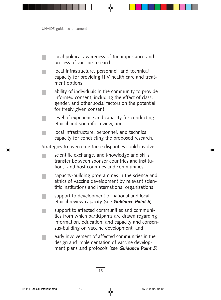| local political awareness of the importance and<br>process of vaccine research                                                                                                                   |
|--------------------------------------------------------------------------------------------------------------------------------------------------------------------------------------------------|
| local infrastructure, personnel, and technical<br>capacity for providing HIV health care and treat-<br>ment options                                                                              |
| ability of individuals in the community to provide<br>informed consent, including the effect of class,<br>gender, and other social factors on the potential<br>for freely given consent          |
| level of experience and capacity for conducting<br>ethical and scientific review, and                                                                                                            |
| local infrastructure, personnel, and technical<br>capacity for conducting the proposed research.                                                                                                 |
| Strategies to overcome these disparities could involve:                                                                                                                                          |
| scientific exchange, and knowledge and skills<br>transfer between sponsor countries and institu-<br>tions, and host countries and communities                                                    |
| capacity-building programmes in the science and<br>ethics of vaccine development by relevant scien-<br>tific institutions and international organizations                                        |
| support to development of national and local<br>ethical review capacity (see Guidance Point 6)                                                                                                   |
| support to affected communities and communi-<br>ties from which participants are drawn regarding<br>information, education, and capacity and consen-<br>sus-building on vaccine development, and |
| early involvement of affected communities in the<br>design and implementation of vaccine develop-<br>ment plans and protocols (see Guidance Point 5).                                            |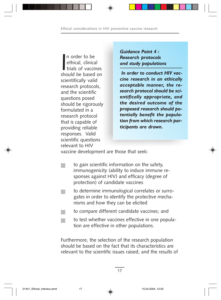In order to be<br>
ethical, clinical<br>
trials of vaccines<br>
should be based on n order to be ethical, clinical trials of vaccines scientifically valid research protocols, and the scientific questions posed should be rigorously formulated in a research protocol that is capable of providing reliable responses. Valid scientific questions relevant to HIV

*Guidance Point 4 : Research protocols and study populations*

 *In order to conduct HIV vaccine research in an ethically acceptable manner, the research protocol should be scientifically appropriate, and the desired outcome of the proposed research should potentially benefit the population from which research participants are drawn.*

vaccine development are those that seek:

- to gain scientific information on the safety, immunogenicity (ability to induce immune responses against HIV) and efficacy (degree of protection) of candidate vaccines
- to determine immunological correlates or surrogates in order to identify the protective mechanisms and how they can be elicited
- to compare different candidate vaccines; and
	- to test whether vaccines effective in one population are effective in other populations.

Furthermore, the selection of the research population should be based on the fact that its characteristics are relevant to the scientific issues raised; and the results of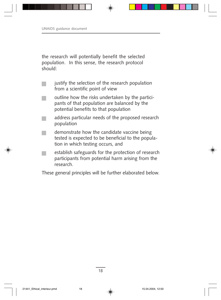the research will potentially benefit the selected population. In this sense, the research protocol should:

- justify the selection of the research population from a scientific point of view
- outline how the risks undertaken by the participants of that population are balanced by the potential benefits to that population
- address particular needs of the proposed research population
- demonstrate how the candidate vaccine being tested is expected to be beneficial to the population in which testing occurs, and
- establish safeguards for the protection of research participants from potential harm arising from the research.

These general principles will be further elaborated below.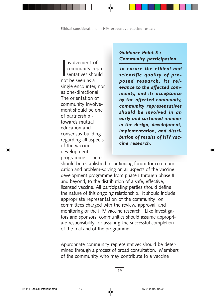Involvement community reservatives show the seen as a nvolvement of community representatives should single encounter, nor as one-directional. The orientation of community involvement should be one of partnership towards mutual education and consensus-building regarding all aspects of the vaccine development programme. There

#### *Guidance Point 5 : Community participation*

*To ensure the ethical and scientific quality of proposed research, its relevance to the affected community, and its acceptance by the affected community, community representatives should be involved in an early and sustained manner in the design, development, implementation, and distribution of results of HIV vaccine research.*

should be established a continuing forum for communication and problem-solving on all aspects of the vaccine development programme from phase I through phase III and beyond, to the distribution of a safe, effective, licensed vaccine. All participating parties should define the nature of this ongoing relationship. It should include appropriate representation of the community on committees charged with the review, approval, and monitoring of the HIV vaccine research. Like investigators and sponsors, communities should assume appropriate responsibility for assuring the successful completion of the trial and of the programme.

Appropriate community representatives should be determined through a process of broad consultation. Members of the community who may contribute to a vaccine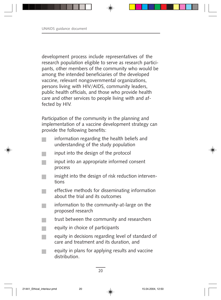development process include representatives of the research population eligible to serve as research participants, other members of the community who would be among the intended beneficiaries of the developed vaccine, relevant nongovernmental organizations, persons living with HIV/AIDS, community leaders, public health officials, and those who provide health care and other services to people living with and affected by HIV.

Participation of the community in the planning and implementation of a vaccine development strategy can provide the following benefits:

- information regarding the health beliefs and understanding of the study population
- input into the design of the protocol
- input into an appropriate informed consent process
- insight into the design of risk reduction interventions
- effective methods for disseminating information about the trial and its outcomes
- information to the community-at-large on the proposed research
- trust between the community and researchers
- equity in choice of participants
- equity in decisions regarding level of standard of care and treatment and its duration, and
- equity in plans for applying results and vaccine distribution.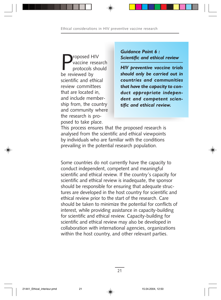Proposed HIV<br>Proposed HIV<br>Proposed by vaccine research protocols should be reviewed by scientific and ethical review committees that are located in, and include membership from, the country and community where the research is proposed to take place.

*Guidance Point 6 : Scientific and ethical review*

*HIV preventive vaccine trials should only be carried out in countries and communities that have the capacity to conduct appropriate independent and competent scientific and ethical review.*

This process ensures that the proposed research is analysed from the scientific and ethical viewpoints by individuals who are familiar with the conditions prevailing in the potential research population.

Some countries do not currently have the capacity to conduct independent, competent and meaningful scientific and ethical review. If the country's capacity for scientific and ethical review is inadequate, the sponsor should be responsible for ensuring that adequate structures are developed in the host country for scientific and ethical review prior to the start of the research. Care should be taken to minimize the potential for conflicts of interest, while providing assistance in capacity-building for scientific and ethical review. Capacity-building for scientific and ethical review may also be developed in collaboration with international agencies, organizations within the host country, and other relevant parties.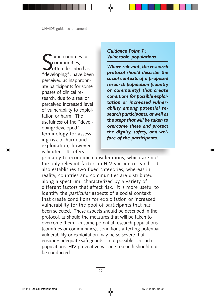Some countries or<br>
Sommunities,<br>
"developing", have been ome countries or communities, often described as perceived as inappropriate participants for some phases of clinical research, due to a real or perceived increased level of vulnerability to exploitation or harm. The usefulness of the "developing/developed" terminology for assessing risk of harm and exploitation, however, is limited. It refers

#### *Guidance Point 7 : Vulnerable populations*

*Where relevant, the research protocol should describe the social contexts of a proposed research population (country or community) that create conditions for possible exploitation or increased vulnerability among potential research participants, as well as the steps that will be taken to overcome these and protect the dignity, safety, and welfare of the participants.*

primarily to economic considerations, which are not the only relevant factors in HIV vaccine research. It also establishes two fixed categories, whereas in reality, countries and communities are distributed along a spectrum, characterized by a variety of different factors that affect risk. It is more useful to identify the particular aspects of a social context that create conditions for exploitation or increased vulnerability for the pool of participants that has been selected. These aspects should be described in the protocol, as should the measures that will be taken to overcome them. In some potential research populations (countries or communities), conditions affecting potential vulnerability or exploitation may be so severe that ensuring adequate safeguards is not possible. In such populations, HIV preventive vaccine research should not be conducted.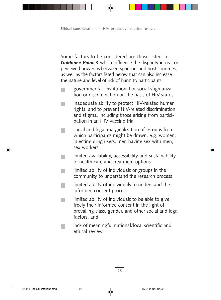Some factors to be considered are those listed in *Guidance Point 3* which influence the disparity in real or perceived power as between sponsors and host countries, as well as the factors listed below that can also increase the nature and level of risk of harm to participants:

- governmental, institutional or social stigmatization or discrimination on the basis of HIV status
- inadequate ability to protect HIV-related human rights, and to prevent HIV-related discrimination and stigma, including those arising from participation in an HIV vaccine trial
- social and legal marginalization of groups from which participants might be drawn, e.g. women, injecting drug users, men having sex with men, sex workers
- limited availability, accessibility and sustainability of health care and treatment options
- limited ability of individuals or groups in the community to understand the research process
- limited ability of individuals to understand the informed consent process
- limited ability of individuals to be able to give freely their informed consent in the light of prevailing class, gender, and other social and legal factors, and
	- lack of meaningful national/local scientific and ethical review.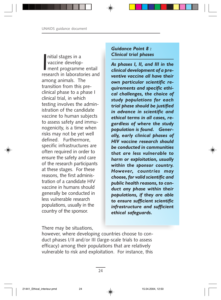nitial stages in a<br>vaccine develop-<br>ment programme entail<br>research in laboratories and nitial stages in a vaccine development programme entail among animals. The transition from this preclinical phase to a phase I clinical trial, in which testing involves the administration of the candidate vaccine to human subjects to assess safety and immunogenicity, is a time when risks may not be yet well defined. Furthermore, specific infrastructures are often required in order to ensure the safety and care of the research participants at these stages. For these reasons, the first administration of a candidate HIV vaccine in humans should generally be conducted in less vulnerable research populations, usually in the country of the sponsor.

#### *Guidance Point 8 : Clinical trial phases*

*As phases I, II, and III in the clinical development of a preventive vaccine all have their own particular scientific requirements and specific ethical challenges, the choice of study populations for each trial phase should be justified in advance in scientific and ethical terms in all cases, regardless of where the study population is found. Generally, early clinical phases of HIV vaccine research should be conducted in communities that are less vulnerable to harm or exploitation, usually within the sponsor country. However, countries may choose, for valid scientific and public health reasons, to conduct any phase within their populations, if they are able to ensure sufficient scientific infrastructure and sufficient ethical safeguards.*

There may be situations,

however, where developing countries choose to conduct phases I/II and/or III (large-scale trials to assess efficacy) among their populations that are relatively vulnerable to risk and exploitation. For instance, this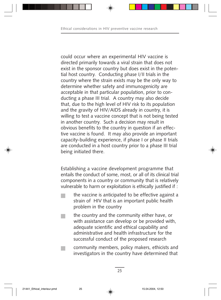could occur where an experimental HIV vaccine is directed primarily towards a viral strain that does not exist in the sponsor country but does exist in the potential host country. Conducting phase I/II trials in the country where the strain exists may be the only way to determine whether safety and immunogenicity are acceptable in that particular population, prior to conducting a phase III trial. A country may also decide that, due to the high level of HIV risk to its population and the gravity of HIV/AIDS already in country, it is willing to test a vaccine concept that is not being tested in another country. Such a decision may result in obvious benefits to the country in question if an effective vaccine is found. It may also provide an important capacity-building experience, if phase I or phase II trials are conducted in a host country prior to a phase III trial being initiated there.

Establishing a vaccine development programme that entails the conduct of some, most, or all of its clinical trial components in a country or community that is relatively vulnerable to harm or exploitation is ethically justified if :

- the vaccine is anticipated to be effective against a strain of HIV that is an important public health problem in the country
- the country and the community either have, or with assistance can develop or be provided with, adequate scientific and ethical capability and administrative and health infrastructure for the successful conduct of the proposed research
	- community members, policy makers, ethicists and investigators in the country have determined that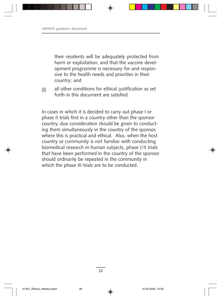their residents will be adequately protected from harm or exploitation, and that the vaccine development programme is necessary for and responsive to the health needs and priorities in their country; and



In cases in which it is decided to carry out phase I or phase II trials first in a country other than the sponsor country, due consideration should be given to conducting them simultaneously in the country of the sponsor, where this is practical and ethical. Also, when the host country or community is not familiar with conducting biomedical research in human subjects, phase I/II trials that have been performed in the country of the sponsor should ordinarily be repeated in the community in which the phase III trials are to be conducted.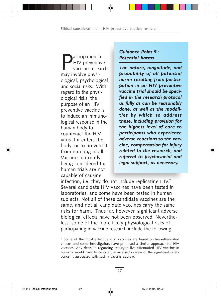**P**articipation in<br>HIV preventive<br>may involve physi-HIV preventive vaccine research may involve physiological, psychological and social risks. With regard to the physiological risks, the purpose of an HIV preventive vaccine is to induce an immunological response in the human body to counteract the HIV virus if it enters the body, or to prevent it from entering at all. Vaccines currently being considered for human trials are not capable of causing

#### *Guidance Point 9 : Potential harms*

*The nature, magnitude, and probability of all potential harms resulting from participation in an HIV preventive vaccine trial should be specified in the research protocol as fully as can be reasonably done, as well as the modalities by which to address these, including provision for the highest level of care to participants who experience adverse reactions to the vaccine, compensation for injury related to the research, and referral to psychosocial and legal support, as necessary.*

infection, i.e. they do not include replicating  $H_1V^2$ . Several candidate HIV vaccines have been tested in laboratories, and some have been tested in human subjects. Not all of these candidate vaccines are the same, and not all candidate vaccines carry the same risks for harm. Thus far, however, significant adverse biological effects have not been observed. Nevertheless, some of the more likely physiological risks of participating in vaccine research include the following:

 $2$  Some of the most effective viral vaccines are based on live-attenuated viruses and some investigators have proposed a similar approach for HIV vaccines. Any decision regarding testing a live-attenuated HIV vaccine in humans would have to be carefully assessed in view of the significant safety concerns associated with such a vaccine approach.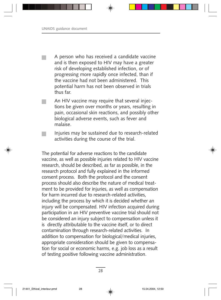A person who has received a candidate vaccine and is then exposed to HIV may have a greater risk of developing established infection, or of progressing more rapidly once infected, than if the vaccine had not been administered. This potential harm has not been observed in trials thus far.

- An HIV vaccine may require that several injections be given over months or years, resulting in pain, occasional skin reactions, and possibly other biological adverse events, such as fever and malaise.
	- Injuries may be sustained due to research-related activities during the course of the trial.

The potential for adverse reactions to the candidate vaccine, as well as possible injuries related to HIV vaccine research, should be described, as far as possible, in the research protocol and fully explained in the informed consent process. Both the protocol and the consent process should also describe the nature of medical treatment to be provided for injuries, as well as compensation for harm incurred due to research-related activities, including the process by which it is decided whether an injury will be compensated. HIV infection acquired during participation in an HIV preventive vaccine trial should not be considered an injury subject to compensation unless it is directly attributable to the vaccine itself, or to direct contamination through research-related activities. In addition to compensation for biological/medical injuries, appropriate consideration should be given to compensation for social or economic harms, e.g. job loss as a result of testing positive following vaccine administration.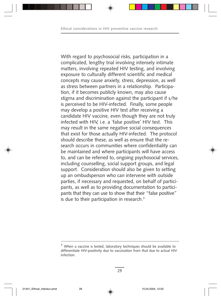With regard to psychosocial risks, participation in a complicated, lengthy trial involving intensely intimate matters, involving repeated HIV testing, and involving exposure to culturally different scientific and medical concepts may cause anxiety, stress, depression, as well as stress between partners in a relationship. Participation, if it becomes publicly known, may also cause stigma and discrimination against the participant if s/he is perceived to be HIV-infected. Finally, some people may develop a positive HIV test after receiving a candidate HIV vaccine, even though they are not truly infected with HIV, i.e. a 'false positive' HIV test. This may result in the same negative social consequences that exist for those actually HIV-infected. The protocol should describe these, as well as ensure that the research occurs in communities where confidentiality can be maintained and where participants will have access to, and can be referred to, ongoing psychosocial services, including counselling, social support groups, and legal support. Consideration should also be given to setting up an ombudsperson who can intervene with outside parties, if necessary and requested, on behalf of participants, as well as to providing documentation to participants that they can use to show that their "false positive" is due to their participation in research.<sup>3</sup>

<sup>&</sup>lt;sup>3</sup> When a vaccine is tested, laboratory techniques should be available to differentiate HIV-positivity due to vaccination from that due to actual HIV infection.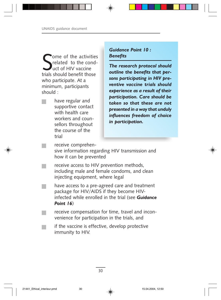Some of the activitie<br>
related to the cond<br>
uct of HIV vaccine<br>
trials should benefit those ome of the activities related to the conduct of HIV vaccine who participate. At a minimum, participants should :

have regular and supportive contact with health care workers and counsellors throughout the course of the trial

#### *Guidance Point 10 : Benefits*

*The research protocol should outline the benefits that persons participating in HIV preventive vaccine trials should experience as a result of their participation. Care should be taken so that these are not presented in a way that unduly influences freedom of choice in participation.*

receive comprehen-

sive information regarding HIV transmission and how it can be prevented

- receive access to HIV prevention methods, including male and female condoms, and clean injecting equipment, where legal
- have access to a pre-agreed care and treatment package for HIV/AIDS if they become HIVinfected while enrolled in the trial (see *Guidance Point 16*)
- receive compensation for time, travel and inconvenience for participation in the trials, and
	- if the vaccine is effective, develop protective immunity to HIV.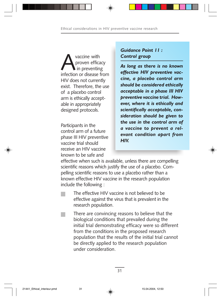vaccine with<br>proven effication or disease proven efficacy in preventing infection or disease from HIV does not currently exist. Therefore, the use of a placebo control arm is ethically acceptable in appropriately designed protocols.

Participants in the control arm of a future phase III HIV preventive vaccine trial should receive an HIV vaccine known to be safe and

*Guidance Point 11 : Control group*

*As long as there is no known effective HIV preventive vaccine, a placebo control arm should be considered ethically acceptable in a phase III HIV preventive vaccine trial. However, where it is ethically and scientifically acceptable, consideration should be given to the use in the control arm of a vaccine to prevent a relevant condition apart from HIV.*

effective when such is available, unless there are compelling scientific reasons which justify the use of a placebo. Compelling scientific reasons to use a placebo rather than a known effective HIV vaccine in the research population include the following :

The effective HIV vaccine is not believed to be effective against the virus that is prevalent in the research population.

There are convincing reasons to believe that the biological conditions that prevailed during the initial trial demonstrating efficacy were so different from the conditions in the proposed research population that the results of the initial trial cannot be directly applied to the research population under consideration.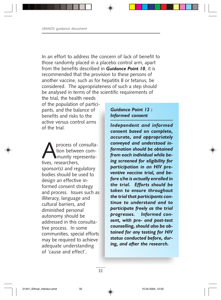In an effort to address the concern of lack of benefit to those randomly placed in a placebo control arm, apart from the benefits described in *Guidance Point 10*, it is recommended that the provision to these persons of another vaccine, such as for hepatitis B or tetanus, be considered. The appropriateness of such a step should be analysed in terms of the scientific requirements of

the trial, the health needs of the population of participants, and the balance of benefits and risks to the active versus control arms of the trial.

process of consultation between com munity representatives, researchers, sponsor(s) and regulatory bodies should be used to design an effective informed consent strategy and process. Issues such as illiteracy, language and cultural barriers, and diminished personal autonomy should be addressed in this consultative process. In some communities, special efforts may be required to achieve adequate understanding of 'cause and effect',

#### *Guidance Point 12 : Informed consent*

*Independent and informed consent based on complete, accurate, and appropriately conveyed and understood information should be obtained from each individual while being screened for eligibility for participation in an HIV preventive vaccine trial, and before s/he is actually enrolled in the trial. Efforts should be taken to ensure throughout the trial that participants continue to understand and to participate freely as the trial progresses. Informed consent, with pre- and post-test counselling, should also be obtained for any testing for HIV status conducted before, during, and after the research.*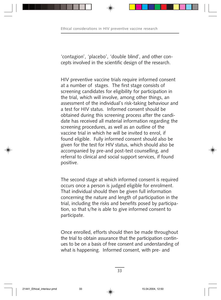'contagion', 'placebo', 'double blind', and other concepts involved in the scientific design of the research.

HIV preventive vaccine trials require informed consent at a number of stages. The first stage consists of screening candidates for eligibility for participation in the trial, which will involve, among other things, an assessment of the individual's risk-taking behaviour and a test for HIV status. Informed consent should be obtained during this screening process after the candidate has received all material information regarding the screening procedures, as well as an outline of the vaccine trial in which he will be invited to enrol, if found eligible. Fully informed consent should also be given for the test for HIV status, which should also be accompanied by pre-and post-test counselling, and referral to clinical and social support services, if found positive.

The second stage at which informed consent is required occurs once a person is judged eligible for enrolment. That individual should then be given full information concerning the nature and length of participation in the trial, including the risks and benefits posed by participation, so that s/he is able to give informed consent to participate.

Once enrolled, efforts should then be made throughout the trial to obtain assurance that the participation continues to be on a basis of free consent and understanding of what is happening. Informed consent, with pre- and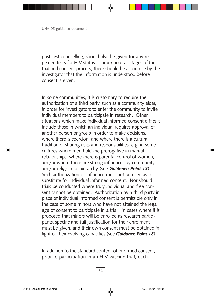post-test counselling, should also be given for any repeated tests for HIV status. Throughout all stages of the trial and consent process, there should be assurance by the investigator that the information is understood before consent is given.

In some communities, it is customary to require the authorization of a third party, such as a community elder, in order for investigators to enter the community to invite individual members to participate in research. Other situations which make individual informed consent difficult include those in which an individual requires approval of another person or group in order to make decisions, where there is coercion, and where there is a cultural tradition of sharing risks and responsibilities, e.g. in some cultures where men hold the prerogative in marital relationships, where there is parental control of women, and/or where there are strong influences by community and/or religion or hierarchy (see *Guidance Point 13*). Such authorization or influence must not be used as a substitute for individual informed consent. Nor should trials be conducted where truly individual and free consent cannot be obtained. Authorization by a third party in place of individual informed consent is permissible only in the case of some minors who have not attained the legal age of consent to participate in a trial. In cases where it is proposed that minors will be enrolled as research participants, specific and full justification for their enrolment must be given, and their own consent must be obtained in light of their evolving capacities (see *Guidance Point 18*).

In addition to the standard content of informed consent, prior to participation in an HIV vaccine trial, each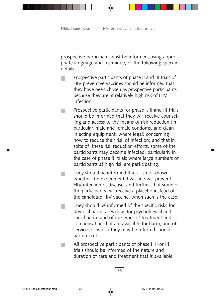prospective participant must be informed, using appropriate language and technique, of the following specific details:

- Prospective participants of phase II and III trials of HIV preventive vaccines should be informed that they have been chosen as prospective participants because they are at relatively high risk of HIV infection.
- Prospective participants for phase I, II and III trials should be informed that they will receive counselling and access to the means of risk reduction (in particular, male and female condoms, and clean injecting equipment, where legal) concerning how to reduce their risk of infection; and that in spite of these risk reduction efforts, some of the participants may become infected, particularly in the case of phase III trials where large numbers of participants at high risk are participating.
- They should be informed that it is not known whether the experimental vaccine will prevent HIV infection or disease, and further, that some of the participants will receive a placebo instead of the candidate HIV vaccine, when such is the case.
- They should be informed of the specific risks for physical harm, as well as for psychological and social harm, and of the types of treatment and compensation that are available for harm, and of services to which they may be referred should harm occur.
	- All prospective participants of phase I, II or III trials should be informed of the nature and duration of care and treatment that is available,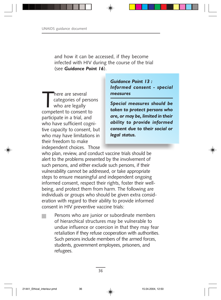and how it can be accessed, if they become infected with HIV during the course of the trial (see *Guidance Point 16*).

There are several<br>categories of pe<br>who are legally<br>competent to consent categories of persons who are legally competent to consent to participate in a trial, and who have sufficient cognitive capacity to consent, but who may have limitations in their freedom to make independent choices. Those

*Guidance Point 13 : Informed consent - special measures*

*Special measures should be taken to protect persons who are, or may be, limited in their ability to provide informed consent due to their social or legal status.*

who plan, review, and conduct vaccine trials should be alert to the problems presented by the involvement of such persons, and either exclude such persons, if their vulnerability cannot be addressed, or take appropriate steps to ensure meaningful and independent ongoing informed consent, respect their rights, foster their wellbeing, and protect them from harm. The following are individuals or groups who should be given extra consideration with regard to their ability to provide informed consent in HIV preventive vaccine trials:

Persons who are junior or subordinate members of hierarchical structures may be vulnerable to undue influence or coercion in that they may fear retaliation if they refuse cooperation with authorities. Such persons include members of the armed forces, students, government employees, prisoners, and refugees.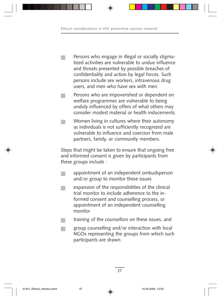Persons who engage in illegal or socially stigmatized activities are vulnerable to undue influence and threats presented by possible breaches of confidentiality and action by legal forces. Such persons include sex workers, intravenous drug users, and men who have sex with men.

Persons who are impoverished or dependent on welfare programmes are vulnerable to being unduly influenced by offers of what others may consider modest material or health inducements.

Women living in cultures where their autonomy as individuals is not sufficiently recognized are vulnerable to influence and coercion from male partners, family, or community members.

Steps that might be taken to ensure that ongoing free and informed consent is given by participants from these groups include :

- appointment of an independent ombudsperson and/or group to monitor these issues
- expansion of the responsibilities of the clinical trial monitor to include adherence to the informed consent and counselling process, or appointment of an independent counselling monitor
- training of the counsellors on these issues, and
	- group counselling and/or interaction with local NGOs representing the groups from which such participants are drawn.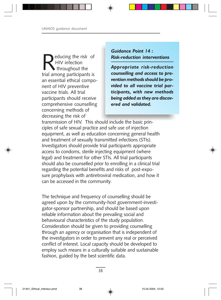educing the risk of HIV infection throughout the trial among participants is an essential ethical component of HIV preventive vaccine trials. All trial participants should receive comprehensive counselling concerning methods of decreasing the risk of

*Guidance Point 14 : Risk-reduction interventions*

*Appropriate risk-reduction counselling and access to prevention methods should be provided to all vaccine trial participants, with new methods being added as they are discovered and validated.*

transmission of HIV. This should include the basic principles of safe sexual practice and safe use of injection equipment, as well as education concerning general health and treatment of sexually transmitted infections (STIs). Investigators should provide trial participants appropriate access to condoms, sterile injecting equipment (where legal) and treatment for other STIs. All trial participants should also be counselled prior to enrolling in a clinical trial regarding the potential benefits and risks of post-exposure prophylaxis with antiretroviral medication, and how it can be accessed in the community.

The technique and frequency of counselling should be agreed upon by the community-host government-investigator-sponsor partnership, and should be based upon reliable information about the prevailing social and behavioural characteristics of the study population. Consideration should be given to providing counselling through an agency or organisation that is independent of the investigators in order to prevent any real or perceived conflict of interest. Local capacity should be developed to employ such means in a culturally suitable and sustainable fashion, guided by the best scientific data.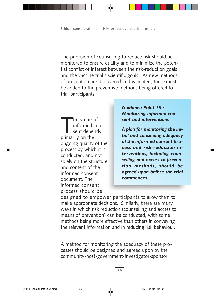The provision of counselling to reduce risk should be monitored to ensure quality and to minimize the potential conflict of interest between the risk-reduction goals and the vaccine trial's scientific goals. As new methods of prevention are discovered and validated, these must be added to the preventive methods being offered to trial participants.

The value of<br>
informed con<br>
sent depends<br>
primarily on the informed conprimarily on the ongoing quality of the process by which it is conducted, and not solely on the structure and content of the informed consent document. The informed consent process should be

*Guidance Point 15 : Monitoring informed consent and interventions*

*A plan for monitoring the initial and continuing adequacy of the informed consent process and risk-reduction interventions, including counselling and access to prevention methods, should be agreed upon before the trial commences.*

designed to empower participants to allow them to make appropriate decisions. Similarly, there are many ways in which risk reduction (counselling and access to means of prevention) can be conducted, with some methods being more effective than others in conveying the relevant information and in reducing risk behaviour.

A method for monitoring the adequacy of these processes should be designed and agreed upon by the community-host-government-investigator-sponsor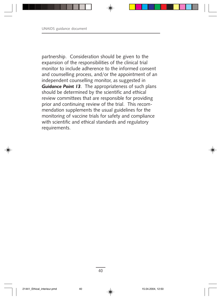partnership. Consideration should be given to the expansion of the responsibilities of the clinical trial monitor to include adherence to the informed consent and counselling process, and/or the appointment of an independent counselling monitor, as suggested in *Guidance Point 13*. The appropriateness of such plans should be determined by the scientific and ethical review committees that are responsible for providing prior and continuing review of the trial. This recommendation supplements the usual guidelines for the monitoring of vaccine trials for safety and compliance with scientific and ethical standards and regulatory requirements.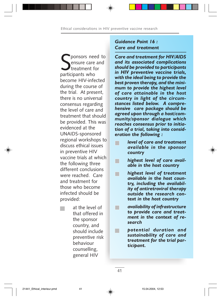Sponsors needless<br>
Sensure care<br>
participants who ponsors need to ensure care and treatment for become HIV-infected during the course of the trial. At present, there is no universal consensus regarding the level of care and treatment that should be provided. This was evidenced at the UNAIDS-sponsored regional workshops to discuss ethical issues in preventive HIV vaccine trials at which the following three different conclusions were reached. Care and treatment for those who become infected should be provided:

at the level of that offered in the sponsor country, and should include preventive risk behaviour counselling, general HIV

#### *Guidance Point 16 : Care and treatment*

*Care and treatment for HIV/AIDS and its associated complications should be provided to participants in HIV preventive vaccine trials, with the ideal being to provide the best proven therapy, and the minimum to provide the highest level of care attainable in the host country in light of the circumstances listed below. A comprehensive care package should be agreed upon through a host/community/sponsor dialogue which reaches consensus prior to initiation of a trial, taking into consideration the following :*

- *level of care and treatment available in the sponsor country*
- *highest level of care avail-*П *able in the host country*
- *highest level of treatment* **Talent** *available in the host country, including the availability of antiretroviral therapy outside the research context in the host country*
- *availability of infrastructure to provide care and treatment in the context of research*
- *potential duration and*  $\blacksquare$ *sustainability of care and treatment for the trial participant.*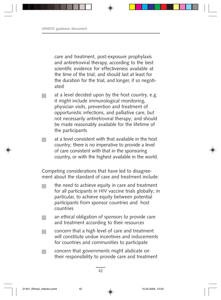care and treatment, post-exposure prophylaxis and antiretroviral therapy, according to the best scientific evidence for effectiveness available at the time of the trial; and should last at least for the duration for the trial, and longer, if so negotiated

- at a level decided upon by the host country, e.g. it might include immunological monitoring, physician visits, prevention and treatment of opportunistic infections, and palliative care, but not necessarily antiretroviral therapy; and should be made reasonably available for the lifetime of the participants
- at a level consistent with that available in the host country; there is no imperative to provide a level of care consistent with that in the sponsoring country, or with the highest available in the world.

Competing considerations that have led to disagreement about the standard of care and treatment include:

- the need to achieve equity in care and treatment for all participants in HIV vaccine trials globally; in particular, to achieve equity between potential participants from sponsor countries and host countries
- an ethical obligation of sponsors to provide care and treatment according to their resources
- concern that a high level of care and treatment will constitute undue incentives and inducements for countries and communities to participate
- concern that governments might abdicate on their responsibility to provide care and treatment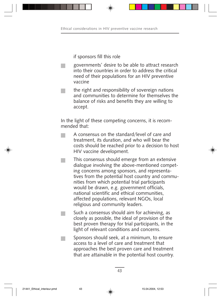if sponsors fill this role

- governments' desire to be able to attract research into their countries in order to address the critical need of their populations for an HIV preventive vaccine
- the right and responsibility of sovereign nations and communities to determine for themselves the balance of risks and benefits they are willing to accept.

In the light of these competing concerns, it is recommended that:

- A consensus on the standard/level of care and treatment, its duration, and who will bear the costs should be reached prior to a decision to host HIV vaccine development.
- This consensus should emerge from an extensive dialogue involving the above-mentioned competing concerns among sponsors, and representatives from the potential host country and communities from which potential trial participants would be drawn, e.g. government officials, national scientific and ethical communities, affected populations, relevant NGOs, local religious and community leaders.
	- Such a consensus should aim for achieving, as closely as possible, the ideal of provision of the best proven therapy for trial participants, in the light of relevant conditions and concerns.
	- Sponsors should seek, at a minimum, to ensure access to a level of care and treatment that approaches the best proven care and treatment that are attainable in the potential host country.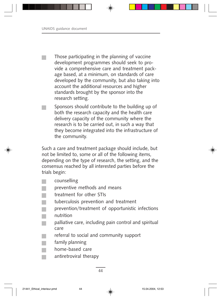Those participating in the planning of vaccine development programmes should seek to provide a comprehensive care and treatment package based, at a minimum, on standards of care developed by the community, but also taking into account the additional resources and higher standards brought by the sponsor into the research setting.

Sponsors should contribute to the building up of both the research capacity and the health care delivery capacity of the community where the research is to be carried out, in such a way that they become integrated into the infrastructure of the community.

Such a care and treatment package should include, but not be limited to, some or all of the following items, depending on the type of research, the setting, and the consensus reached by all interested parties before the trials begin:

counselling

 $\mathbb{R}^n$ 

- preventive methods and means
- treatment for other STIs
- tuberculosis prevention and treatment
- prevention/treatment of opportunistic infections nutrition
	- palliative care, including pain control and spiritual care
- referral to social and community support
	- family planning
- home-based care
	- antiretroviral therapy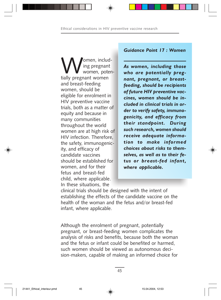**W** ing pregnant<br>
tially pregnant women ing pregnant women, potenand breast-feeding women, should be eligible for enrolment in HIV preventive vaccine trials, both as a matter of equity and because in many communities throughout the world women are at high risk of HIV infection. Therefore, the safety, immunogenicity, and efficacy of candidate vaccines should be established for women, and for their fetus and breast-fed child, where applicable. In these situations, the

#### *Guidance Point 17 : Women*

*As women, including those who are potentially pregnant, pregnant, or breastfeeding, should be recipients of future HIV preventive vaccines, women should be included in clinical trials in order to verify safety, immunogenicity, and efficacy from their standpoint. During such research, women should receive adequate information to make informed choices about risks to themselves, as well as to their fetus or breast-fed infant, where applicable.*

clinical trials should be designed with the intent of establishing the effects of the candidate vaccine on the health of the woman and the fetus and/or breast-fed infant, where applicable.

Although the enrolment of pregnant, potentially pregnant, or breast-feeding women complicates the analysis of risks and benefits, because both the woman and the fetus or infant could be benefited or harmed, such women should be viewed as autonomous decision-makers, capable of making an informed choice for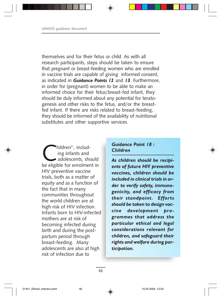themselves and for their fetus or child. As with all research participants, steps should be taken to ensure that pregnant or breast-feeding women who are enrolled in vaccine trials are capable of giving informed consent, as indicated in *Guidance Points 12* and *13.* Furthermore, in order for (pregnant) women to be able to make an informed choice for their fetus/breast-fed infant, they should be duly informed about any potential for teratogenesis and other risks to the fetus, and/or the breastfed infant. If there are risks related to breast-feeding, they should be informed of the availability of nutritional substitutes and other supportive services.

 $\bigcup_{\text{ing infants and} \text{adolescents, should}$  ing infants and be eligible for enrolment in HIV preventive vaccine trials, both as a matter of equity and as a function of the fact that in many communities throughout the world children are at high risk of HIV infection. Infants born to HIV-infected mothers are at risk of becoming infected during birth and during the postpartum period through breast-feeding. Many adolescents are also at high risk of infection due to

#### *Guidance Point 18 : Children*

*As children should be recipients of future HIV preventive vaccines, children should be included in clinical trials in order to verify safety, immunogenicity, and efficacy from their standpoint. Efforts should be taken to design vaccine development programmes that address the particular ethical and legal considerations relevant for children, and safeguard their rights and welfare during participation.*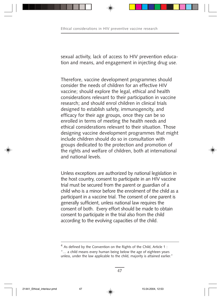sexual activity, lack of access to HIV prevention education and means, and engagement in injecting drug use.

Therefore, vaccine development programmes should consider the needs of children for an effective HIV vaccine; should explore the legal, ethical and health considerations relevant to their participation in vaccine research; and should enrol children in clinical trials designed to establish safety, immunogencity, and efficacy for their age groups, once they can be so enrolled in terms of meeting the health needs and ethical considerations relevant to their situation. Those designing vaccine development programmes that might include children should do so in consultation with groups dedicated to the protection and promotion of the rights and welfare of children, both at international and national levels.

Unless exceptions are authorized by national legislation in the host country, consent to participate in an HIV vaccine trial must be secured from the parent or guardian of a child who is a minor before the enrolment of the child as a participant in a vaccine trial. The consent of one parent is generally sufficient, unless national law requires the consent of both. Every effort should be made to obtain consent to participate in the trial also from the child according to the evolving capacities of the child.

<sup>&</sup>lt;sup>4</sup> As defined by the Convention on the Rights of the Child, Article 1 : "… a child means every human being below the age of eighteen years

unless, under the law applicable to the child, majority is attained earlier."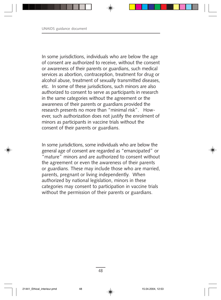In some jurisdictions, individuals who are below the age of consent are authorized to receive, without the consent or awareness of their parents or guardians, such medical services as abortion, contraception, treatment for drug or alcohol abuse, treatment of sexually transmitted diseases, etc. In some of these jurisdictions, such minors are also authorized to consent to serve as participants in research in the same categories without the agreement or the awareness of their parents or guardians provided the research presents no more than "minimal risk". However, such authorization does not justify the enrolment of minors as participants in vaccine trials without the consent of their parents or guardians.

In some jurisdictions, some individuals who are below the general age of consent are regarded as "emancipated" or "mature" minors and are authorized to consent without the agreement or even the awareness of their parents or guardians. These may include those who are married, parents, pregnant or living independently. When authorized by national legislation, minors in these categories may consent to participation in vaccine trials without the permission of their parents or guardians.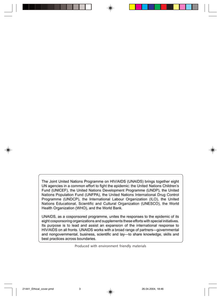The Joint United Nations Programme on HIV/AIDS (UNAIDS) brings together eight UN agencies in a common effort to fight the epidemic: the United Nations Children's Fund (UNICEF), the United Nations Development Programme (UNDP), the United Nations Population Fund (UNFPA), the United Nations International Drug Control Programme (UNDCP), the International Labour Organization (ILO), the United Nations Educational, Scientific and Cultural Organization (UNESCO), the World Health Organization (WHO), and the World Bank.

UNAIDS, as a cosponsored programme, unites the responses to the epidemic of its eight cosponsoring organizations and supplements these efforts with special initiatives. Its purpose is to lead and assist an expansion of the international response to HIV/AIDS on all fronts. UNAIDS works with a broad range of partners-governmental and nongovernmental, business, scientific and lay-to share knowledge, skills and best practices across boundaries.